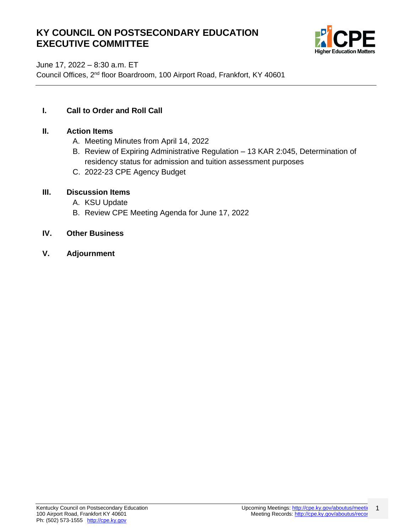# **KY COUNCIL ON POSTSECONDARY EDUCATION EXECUTIVE COMMITTEE**



June 17, 2022 – 8:30 a.m. ET

Council Offices, 2nd floor Boardroom, 100 Airport Road, Frankfort, KY 40601

#### **I. Call to Order and Roll Call**

#### **II. Action Items**

- A. Meeting Minutes from April 14, 2022
- B. Review of Expiring Administrative Regulation 13 KAR 2:045, Determination of residency status for admission and tuition assessment purposes
- C. 2022-23 CPE Agency Budget

#### **III. Discussion Items**

- A. KSU Update
- B. Review CPE Meeting Agenda for June 17, 2022
- **IV. Other Business**
- **V. Adjournment**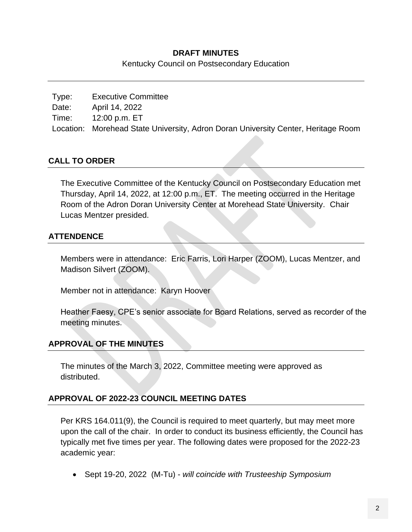#### **DRAFT MINUTES**

Kentucky Council on Postsecondary Education

Type: Executive Committee Date: April 14, 2022 Time: 12:00 p.m. ET Location: Morehead State University, Adron Doran University Center, Heritage Room

### **CALL TO ORDER**

The Executive Committee of the Kentucky Council on Postsecondary Education met Thursday, April 14, 2022, at 12:00 p.m., ET. The meeting occurred in the Heritage Room of the Adron Doran University Center at Morehead State University. Chair Lucas Mentzer presided.

### **ATTENDENCE**

Members were in attendance: Eric Farris, Lori Harper (ZOOM), Lucas Mentzer, and Madison Silvert (ZOOM).

Member not in attendance: Karyn Hoover

Heather Faesy, CPE's senior associate for Board Relations, served as recorder of the meeting minutes.

## **APPROVAL OF THE MINUTES**

The minutes of the March 3, 2022, Committee meeting were approved as distributed.

### **APPROVAL OF 2022-23 COUNCIL MEETING DATES**

Per KRS 164.011(9), the Council is required to meet quarterly, but may meet more upon the call of the chair. In order to conduct its business efficiently, the Council has typically met five times per year. The following dates were proposed for the 2022-23 academic year:

• Sept 19-20, 2022 (M-Tu) - *will coincide with Trusteeship Symposium*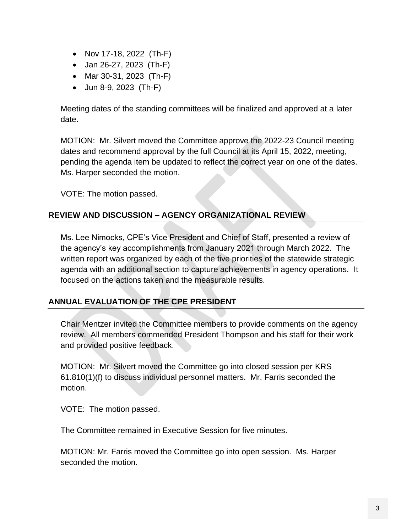- Nov 17-18, 2022 (Th-F)
- Jan 26-27, 2023 (Th-F)
- Mar 30-31, 2023 (Th-F)
- Jun 8-9, 2023 (Th-F)

Meeting dates of the standing committees will be finalized and approved at a later date.

MOTION: Mr. Silvert moved the Committee approve the 2022-23 Council meeting dates and recommend approval by the full Council at its April 15, 2022, meeting, pending the agenda item be updated to reflect the correct year on one of the dates. Ms. Harper seconded the motion.

VOTE: The motion passed.

### **REVIEW AND DISCUSSION – AGENCY ORGANIZATIONAL REVIEW**

Ms. Lee Nimocks, CPE's Vice President and Chief of Staff, presented a review of the agency's key accomplishments from January 2021 through March 2022. The written report was organized by each of the five priorities of the statewide strategic agenda with an additional section to capture achievements in agency operations. It focused on the actions taken and the measurable results.

### **ANNUAL EVALUATION OF THE CPE PRESIDENT**

Chair Mentzer invited the Committee members to provide comments on the agency review. All members commended President Thompson and his staff for their work and provided positive feedback.

MOTION: Mr. Silvert moved the Committee go into closed session per KRS 61.810(1)(f) to discuss individual personnel matters. Mr. Farris seconded the motion.

VOTE: The motion passed.

The Committee remained in Executive Session for five minutes.

MOTION: Mr. Farris moved the Committee go into open session. Ms. Harper seconded the motion.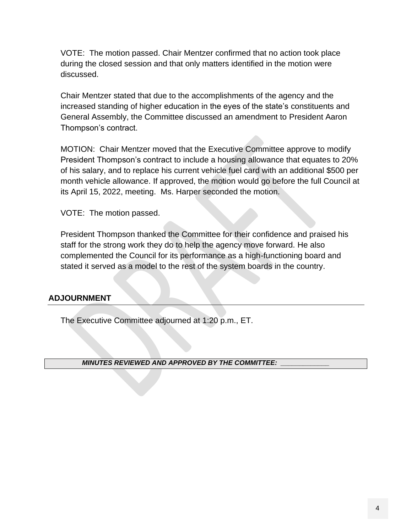VOTE: The motion passed. Chair Mentzer confirmed that no action took place during the closed session and that only matters identified in the motion were discussed.

Chair Mentzer stated that due to the accomplishments of the agency and the increased standing of higher education in the eyes of the state's constituents and General Assembly, the Committee discussed an amendment to President Aaron Thompson's contract.

MOTION: Chair Mentzer moved that the Executive Committee approve to modify President Thompson's contract to include a housing allowance that equates to 20% of his salary, and to replace his current vehicle fuel card with an additional \$500 per month vehicle allowance. If approved, the motion would go before the full Council at its April 15, 2022, meeting. Ms. Harper seconded the motion.

VOTE: The motion passed.

President Thompson thanked the Committee for their confidence and praised his staff for the strong work they do to help the agency move forward. He also complemented the Council for its performance as a high-functioning board and stated it served as a model to the rest of the system boards in the country.

#### **ADJOURNMENT**

The Executive Committee adjourned at 1:20 p.m., ET.

*MINUTES REVIEWED AND APPROVED BY THE COMMITTEE: \_\_\_\_\_\_\_\_\_\_\_\_\_*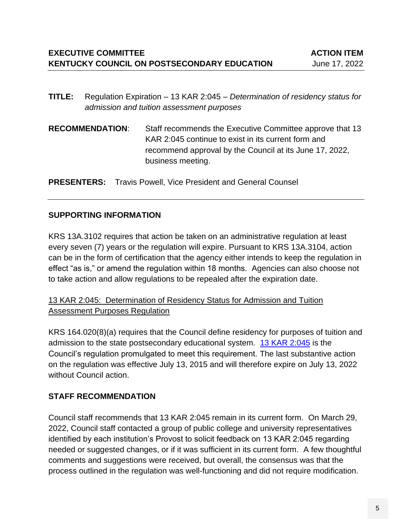- **TITLE:** Regulation Expiration 13 KAR 2:045 *Determination of residency status for admission and tuition assessment purposes*
- **RECOMMENDATION**: Staff recommends the Executive Committee approve that 13 KAR 2:045 continue to exist in its current form and recommend approval by the Council at its June 17, 2022, business meeting.

**PRESENTERS:** Travis Powell, Vice President and General Counsel

### **SUPPORTING INFORMATION**

KRS 13A.3102 requires that action be taken on an administrative regulation at least every seven (7) years or the regulation will expire. Pursuant to KRS 13A.3104, action can be in the form of certification that the agency either intends to keep the regulation in effect "as is," or amend the regulation within 18 months. Agencies can also choose not to take action and allow regulations to be repealed after the expiration date.

### 13 KAR 2:045: Determination of Residency Status for Admission and Tuition Assessment Purposes Regulation

KRS 164.020(8)(a) requires that the Council define residency for purposes of tuition and admission to the state postsecondary educational system. [13 KAR 2:045](https://apps.legislature.ky.gov/law/kar/titles/013/002/045/) is the Council's regulation promulgated to meet this requirement. The last substantive action on the regulation was effective July 13, 2015 and will therefore expire on July 13, 2022 without Council action.

## **STAFF RECOMMENDATION**

Council staff recommends that 13 KAR 2:045 remain in its current form. On March 29, 2022, Council staff contacted a group of public college and university representatives identified by each institution's Provost to solicit feedback on 13 KAR 2:045 regarding needed or suggested changes, or if it was sufficient in its current form. A few thoughtful comments and suggestions were received, but overall, the consensus was that the process outlined in the regulation was well-functioning and did not require modification.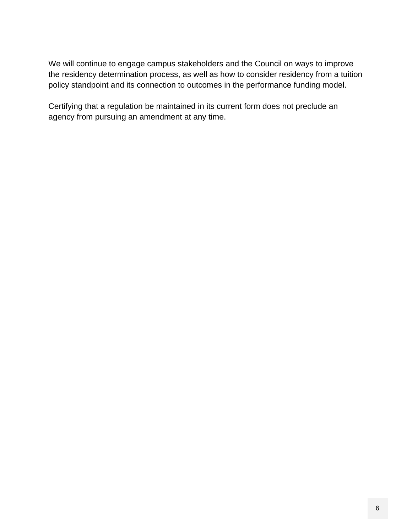We will continue to engage campus stakeholders and the Council on ways to improve the residency determination process, as well as how to consider residency from a tuition policy standpoint and its connection to outcomes in the performance funding model.

Certifying that a regulation be maintained in its current form does not preclude an agency from pursuing an amendment at any time.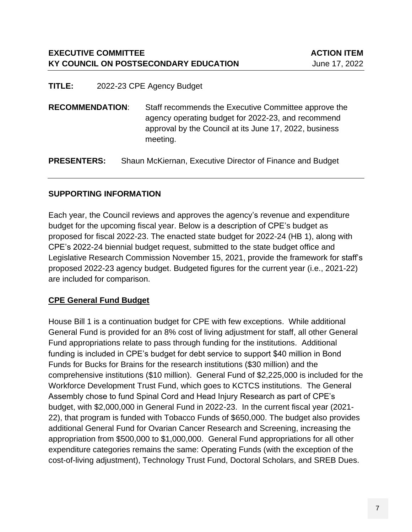**TITLE:** 2022-23 CPE Agency Budget

**RECOMMENDATION**: Staff recommends the Executive Committee approve the agency operating budget for 2022-23, and recommend approval by the Council at its June 17, 2022, business meeting.

**PRESENTERS:** Shaun McKiernan, Executive Director of Finance and Budget

#### **SUPPORTING INFORMATION**

Each year, the Council reviews and approves the agency's revenue and expenditure budget for the upcoming fiscal year. Below is a description of CPE's budget as proposed for fiscal 2022-23. The enacted state budget for 2022-24 (HB 1), along with CPE's 2022-24 biennial budget request, submitted to the state budget office and Legislative Research Commission November 15, 2021, provide the framework for staff's proposed 2022-23 agency budget. Budgeted figures for the current year (i.e., 2021-22) are included for comparison.

### **CPE General Fund Budget**

House Bill 1 is a continuation budget for CPE with few exceptions. While additional General Fund is provided for an 8% cost of living adjustment for staff, all other General Fund appropriations relate to pass through funding for the institutions. Additional funding is included in CPE's budget for debt service to support \$40 million in Bond Funds for Bucks for Brains for the research institutions (\$30 million) and the comprehensive institutions (\$10 million). General Fund of \$2,225,000 is included for the Workforce Development Trust Fund, which goes to KCTCS institutions. The General Assembly chose to fund Spinal Cord and Head Injury Research as part of CPE's budget, with \$2,000,000 in General Fund in 2022-23. In the current fiscal year (2021- 22), that program is funded with Tobacco Funds of \$650,000. The budget also provides additional General Fund for Ovarian Cancer Research and Screening, increasing the appropriation from \$500,000 to \$1,000,000. General Fund appropriations for all other expenditure categories remains the same: Operating Funds (with the exception of the cost-of-living adjustment), Technology Trust Fund, Doctoral Scholars, and SREB Dues.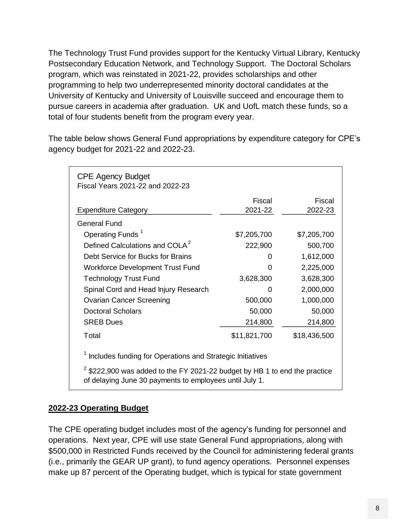The Technology Trust Fund provides support for the Kentucky Virtual Library, Kentucky Postsecondary Education Network, and Technology Support. The Doctoral Scholars program, which was reinstated in 2021-22, provides scholarships and other programming to help two underrepresented minority doctoral candidates at the University of Kentucky and University of Louisville succeed and encourage them to pursue careers in academia after graduation. UK and UofL match these funds, so a total of four students benefit from the program every year.

The table below shows General Fund appropriations by expenditure category for CPE's agency budget for 2021-22 and 2022-23.

| <b>CPE Agency Budget</b><br>Fiscal Years 2021-22 and 2022-23                    |              |              |  |  |
|---------------------------------------------------------------------------------|--------------|--------------|--|--|
|                                                                                 | Fiscal       | Fiscal       |  |  |
| <b>Expenditure Category</b>                                                     | 2021-22      | 2022-23      |  |  |
| <b>General Fund</b>                                                             |              |              |  |  |
| Operating Funds <sup>1</sup>                                                    | \$7,205,700  | \$7,205,700  |  |  |
| Defined Calculations and COLA <sup>2</sup>                                      | 222,900      | 500,700      |  |  |
| Debt Service for Bucks for Brains                                               | 0            | 1,612,000    |  |  |
| <b>Workforce Development Trust Fund</b>                                         | ი            | 2,225,000    |  |  |
| <b>Technology Trust Fund</b>                                                    | 3,628,300    | 3,628,300    |  |  |
| Spinal Cord and Head Injury Research                                            | ი            | 2,000,000    |  |  |
| <b>Ovarian Cancer Screening</b>                                                 | 500,000      | 1,000,000    |  |  |
| <b>Doctoral Scholars</b>                                                        | 50,000       | 50,000       |  |  |
| <b>SREB Dues</b>                                                                | 214,800      | 214,800      |  |  |
| Total                                                                           | \$11,821,700 | \$18,436,500 |  |  |
| Includes funding for Operations and Strategic Initiatives                       |              |              |  |  |
| $^{2}$ \$222.900 was added to the FY 2021-22 budget by HR 1 to end the practice |              |              |  |  |

 \$222,900 was added to the FY 2021-22 budget by HB 1 to end the practice of delaying June 30 payments to employees until July 1.

## **2022-23 Operating Budget**

The CPE operating budget includes most of the agency's funding for personnel and operations. Next year, CPE will use state General Fund appropriations, along with \$500,000 in Restricted Funds received by the Council for administering federal grants (i.e., primarily the GEAR UP grant), to fund agency operations. Personnel expenses make up 87 percent of the Operating budget, which is typical for state government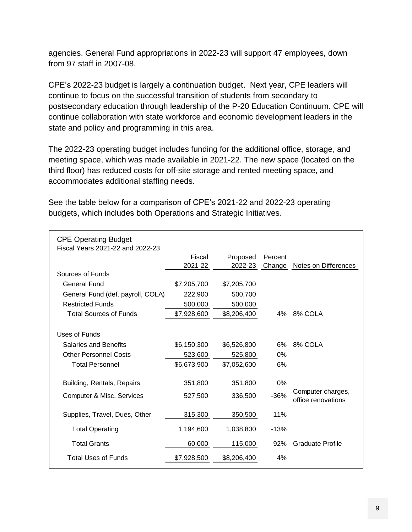agencies. General Fund appropriations in 2022-23 will support 47 employees, down from 97 staff in 2007-08.

CPE's 2022-23 budget is largely a continuation budget. Next year, CPE leaders will continue to focus on the successful transition of students from secondary to postsecondary education through leadership of the P-20 Education Continuum. CPE will continue collaboration with state workforce and economic development leaders in the state and policy and programming in this area.

The 2022-23 operating budget includes funding for the additional office, storage, and meeting space, which was made available in 2021-22. The new space (located on the third floor) has reduced costs for off-site storage and rented meeting space, and accommodates additional staffing needs.

| <b>CPE Operating Budget</b><br>Fiscal Years 2021-22 and 2022-23 |             |             |         |                         |
|-----------------------------------------------------------------|-------------|-------------|---------|-------------------------|
|                                                                 | Fiscal      | Proposed    | Percent |                         |
|                                                                 | 2021-22     | 2022-23     | Change  | Notes on Differences    |
| Sources of Funds                                                |             |             |         |                         |
| <b>General Fund</b>                                             | \$7,205,700 | \$7,205,700 |         |                         |
| General Fund (def. payroll, COLA)                               | 222,900     | 500,700     |         |                         |
| <b>Restricted Funds</b>                                         | 500,000     | 500,000     |         |                         |
| <b>Total Sources of Funds</b>                                   | \$7,928,600 | \$8,206,400 | $4\%$   | 8% COLA                 |
|                                                                 |             |             |         |                         |
| Uses of Funds                                                   |             |             |         |                         |
| <b>Salaries and Benefits</b>                                    | \$6,150,300 | \$6,526,800 | 6%      | 8% COLA                 |
| <b>Other Personnel Costs</b>                                    | 523,600     | 525,800     | 0%      |                         |
| <b>Total Personnel</b>                                          | \$6,673,900 | \$7,052,600 | 6%      |                         |
|                                                                 |             |             |         |                         |
| Building, Rentals, Repairs                                      | 351,800     | 351,800     | 0%      |                         |
| Computer & Misc. Services                                       | 527,500     | 336,500     | $-36%$  | Computer charges,       |
|                                                                 |             |             |         | office renovations      |
| Supplies, Travel, Dues, Other                                   | 315,300     | 350,500     | 11%     |                         |
|                                                                 |             |             |         |                         |
| <b>Total Operating</b>                                          | 1,194,600   | 1,038,800   | $-13%$  |                         |
| <b>Total Grants</b>                                             | 60,000      | 115,000     | 92%     | <b>Graduate Profile</b> |
| Total Uses of Funds                                             | \$7,928,500 | \$8,206,400 | 4%      |                         |
|                                                                 |             |             |         |                         |

See the table below for a comparison of CPE's 2021-22 and 2022-23 operating budgets, which includes both Operations and Strategic Initiatives.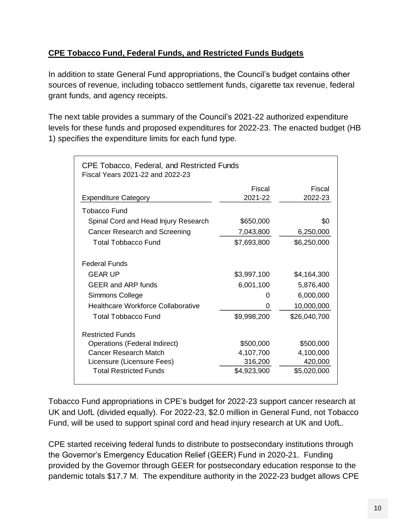## **CPE Tobacco Fund, Federal Funds, and Restricted Funds Budgets**

In addition to state General Fund appropriations, the Council's budget contains other sources of revenue, including tobacco settlement funds, cigarette tax revenue, federal grant funds, and agency receipts.

The next table provides a summary of the Council's 2021-22 authorized expenditure levels for these funds and proposed expenditures for 2022-23. The enacted budget (HB 1) specifies the expenditure limits for each fund type.

| CPE Tobacco, Federal, and Restricted Funds<br>Fiscal Years 2021-22 and 2022-23 |             |              |  |  |
|--------------------------------------------------------------------------------|-------------|--------------|--|--|
|                                                                                | Fiscal      | Fiscal       |  |  |
| <b>Expenditure Category</b>                                                    | 2021-22     | 2022-23      |  |  |
| Tobacco Fund                                                                   |             |              |  |  |
| Spinal Cord and Head Injury Research                                           | \$650,000   | \$0          |  |  |
| Cancer Research and Screening                                                  | 7,043,800   | 6,250,000    |  |  |
| <b>Total Tobbacco Fund</b>                                                     | \$7,693,800 | \$6,250,000  |  |  |
| <b>Federal Funds</b>                                                           |             |              |  |  |
| <b>GEAR UP</b>                                                                 | \$3,997,100 | \$4,164,300  |  |  |
| <b>GEER and ARP funds</b>                                                      | 6,001,100   | 5,876,400    |  |  |
| Simmons College                                                                | 0           | 6,000,000    |  |  |
| <b>Healthcare Workforce Collaborative</b>                                      | 0           | 10,000,000   |  |  |
| Total Tobbacco Fund                                                            | \$9,998,200 | \$26,040,700 |  |  |
| <b>Restricted Funds</b>                                                        |             |              |  |  |
| Operations (Federal Indirect)                                                  | \$500,000   | \$500,000    |  |  |
| Cancer Research Match                                                          | 4,107,700   | 4,100,000    |  |  |
| Licensure (Licensure Fees)                                                     | 316,200     | 420,000      |  |  |
| <b>Total Restricted Funds</b>                                                  | \$4,923,900 | \$5,020,000  |  |  |

Tobacco Fund appropriations in CPE's budget for 2022-23 support cancer research at UK and UofL (divided equally). For 2022-23, \$2.0 million in General Fund, not Tobacco Fund, will be used to support spinal cord and head injury research at UK and UofL.

CPE started receiving federal funds to distribute to postsecondary institutions through the Governor's Emergency Education Relief (GEER) Fund in 2020-21. Funding provided by the Governor through GEER for postsecondary education response to the pandemic totals \$17.7 M. The expenditure authority in the 2022-23 budget allows CPE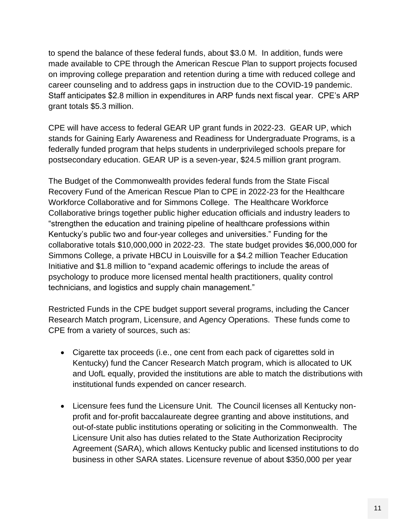to spend the balance of these federal funds, about \$3.0 M. In addition, funds were made available to CPE through the American Rescue Plan to support projects focused on improving college preparation and retention during a time with reduced college and career counseling and to address gaps in instruction due to the COVID-19 pandemic. Staff anticipates \$2.8 million in expenditures in ARP funds next fiscal year. CPE's ARP grant totals \$5.3 million.

CPE will have access to federal GEAR UP grant funds in 2022-23. GEAR UP, which stands for Gaining Early Awareness and Readiness for Undergraduate Programs, is a federally funded program that helps students in underprivileged schools prepare for postsecondary education. GEAR UP is a seven-year, \$24.5 million grant program.

The Budget of the Commonwealth provides federal funds from the State Fiscal Recovery Fund of the American Rescue Plan to CPE in 2022-23 for the Healthcare Workforce Collaborative and for Simmons College. The Healthcare Workforce Collaborative brings together public higher education officials and industry leaders to "strengthen the education and training pipeline of healthcare professions within Kentucky's public two and four-year colleges and universities." Funding for the collaborative totals \$10,000,000 in 2022-23. The state budget provides \$6,000,000 for Simmons College, a private HBCU in Louisville for a \$4.2 million Teacher Education Initiative and \$1.8 million to "expand academic offerings to include the areas of psychology to produce more licensed mental health practitioners, quality control technicians, and logistics and supply chain management."

Restricted Funds in the CPE budget support several programs, including the Cancer Research Match program, Licensure, and Agency Operations. These funds come to CPE from a variety of sources, such as:

- Cigarette tax proceeds (i.e., one cent from each pack of cigarettes sold in Kentucky) fund the Cancer Research Match program, which is allocated to UK and UofL equally, provided the institutions are able to match the distributions with institutional funds expended on cancer research.
- Licensure fees fund the Licensure Unit. The Council licenses all Kentucky nonprofit and for-profit baccalaureate degree granting and above institutions, and out-of-state public institutions operating or soliciting in the Commonwealth. The Licensure Unit also has duties related to the State Authorization Reciprocity Agreement (SARA), which allows Kentucky public and licensed institutions to do business in other SARA states. Licensure revenue of about \$350,000 per year